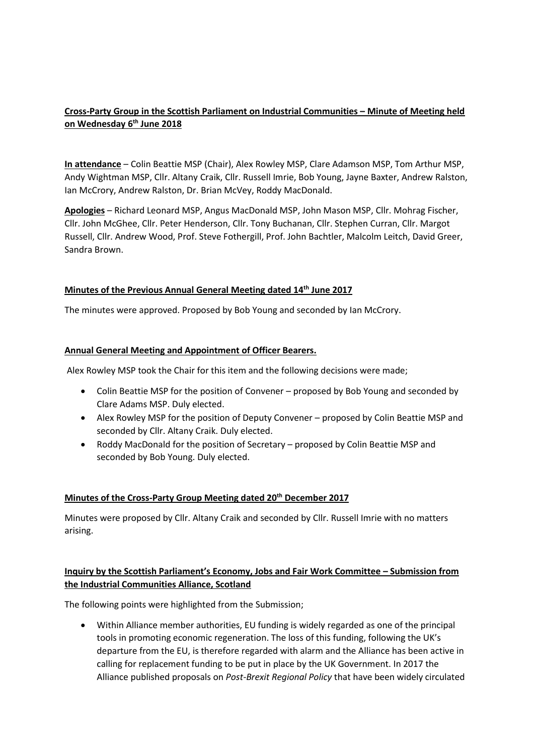# **Cross-Party Group in the Scottish Parliament on Industrial Communities – Minute of Meeting held on Wednesday 6 th June 2018**

**In attendance** – Colin Beattie MSP (Chair), Alex Rowley MSP, Clare Adamson MSP, Tom Arthur MSP, Andy Wightman MSP, Cllr. Altany Craik, Cllr. Russell Imrie, Bob Young, Jayne Baxter, Andrew Ralston, Ian McCrory, Andrew Ralston, Dr. Brian McVey, Roddy MacDonald.

**Apologies** – Richard Leonard MSP, Angus MacDonald MSP, John Mason MSP, Cllr. Mohrag Fischer, Cllr. John McGhee, Cllr. Peter Henderson, Cllr. Tony Buchanan, Cllr. Stephen Curran, Cllr. Margot Russell, Cllr. Andrew Wood, Prof. Steve Fothergill, Prof. John Bachtler, Malcolm Leitch, David Greer, Sandra Brown.

### **Minutes of the Previous Annual General Meeting dated 14th June 2017**

The minutes were approved. Proposed by Bob Young and seconded by Ian McCrory.

### **Annual General Meeting and Appointment of Officer Bearers.**

Alex Rowley MSP took the Chair for this item and the following decisions were made;

- Colin Beattie MSP for the position of Convener proposed by Bob Young and seconded by Clare Adams MSP. Duly elected.
- Alex Rowley MSP for the position of Deputy Convener proposed by Colin Beattie MSP and seconded by Cllr. Altany Craik. Duly elected.
- Roddy MacDonald for the position of Secretary proposed by Colin Beattie MSP and seconded by Bob Young. Duly elected.

#### **Minutes of the Cross-Party Group Meeting dated 20th December 2017**

Minutes were proposed by Cllr. Altany Craik and seconded by Cllr. Russell Imrie with no matters arising.

# **Inquiry by the Scottish Parliament's Economy, Jobs and Fair Work Committee – Submission from the Industrial Communities Alliance, Scotland**

The following points were highlighted from the Submission;

• Within Alliance member authorities, EU funding is widely regarded as one of the principal tools in promoting economic regeneration. The loss of this funding, following the UK's departure from the EU, is therefore regarded with alarm and the Alliance has been active in calling for replacement funding to be put in place by the UK Government. In 2017 the Alliance published proposals on *Post-Brexit Regional Policy* that have been widely circulated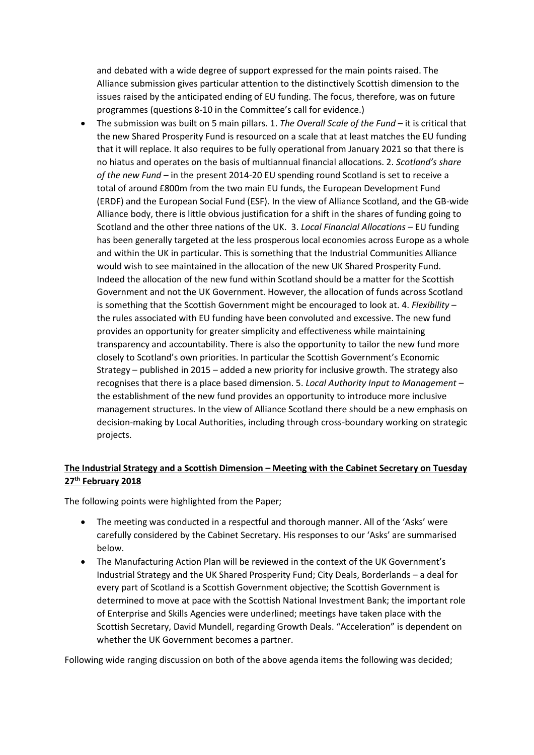and debated with a wide degree of support expressed for the main points raised. The Alliance submission gives particular attention to the distinctively Scottish dimension to the issues raised by the anticipated ending of EU funding. The focus, therefore, was on future programmes (questions 8-10 in the Committee's call for evidence.)

• The submission was built on 5 main pillars. 1. *The Overall Scale of the Fund* – it is critical that the new Shared Prosperity Fund is resourced on a scale that at least matches the EU funding that it will replace. It also requires to be fully operational from January 2021 so that there is no hiatus and operates on the basis of multiannual financial allocations. 2. *Scotland's share of the new Fund* – in the present 2014-20 EU spending round Scotland is set to receive a total of around £800m from the two main EU funds, the European Development Fund (ERDF) and the European Social Fund (ESF). In the view of Alliance Scotland, and the GB-wide Alliance body, there is little obvious justification for a shift in the shares of funding going to Scotland and the other three nations of the UK. 3. *Local Financial Allocations* – EU funding has been generally targeted at the less prosperous local economies across Europe as a whole and within the UK in particular. This is something that the Industrial Communities Alliance would wish to see maintained in the allocation of the new UK Shared Prosperity Fund. Indeed the allocation of the new fund within Scotland should be a matter for the Scottish Government and not the UK Government. However, the allocation of funds across Scotland is something that the Scottish Government might be encouraged to look at. 4. *Flexibility* – the rules associated with EU funding have been convoluted and excessive. The new fund provides an opportunity for greater simplicity and effectiveness while maintaining transparency and accountability. There is also the opportunity to tailor the new fund more closely to Scotland's own priorities. In particular the Scottish Government's Economic Strategy – published in 2015 – added a new priority for inclusive growth. The strategy also recognises that there is a place based dimension. 5. *Local Authority Input to Management* – the establishment of the new fund provides an opportunity to introduce more inclusive management structures. In the view of Alliance Scotland there should be a new emphasis on decision-making by Local Authorities, including through cross-boundary working on strategic projects.

# **The Industrial Strategy and a Scottish Dimension – Meeting with the Cabinet Secretary on Tuesday 27th February 2018**

The following points were highlighted from the Paper;

- The meeting was conducted in a respectful and thorough manner. All of the 'Asks' were carefully considered by the Cabinet Secretary. His responses to our 'Asks' are summarised below.
- The Manufacturing Action Plan will be reviewed in the context of the UK Government's Industrial Strategy and the UK Shared Prosperity Fund; City Deals, Borderlands – a deal for every part of Scotland is a Scottish Government objective; the Scottish Government is determined to move at pace with the Scottish National Investment Bank; the important role of Enterprise and Skills Agencies were underlined; meetings have taken place with the Scottish Secretary, David Mundell, regarding Growth Deals. "Acceleration" is dependent on whether the UK Government becomes a partner.

Following wide ranging discussion on both of the above agenda items the following was decided;